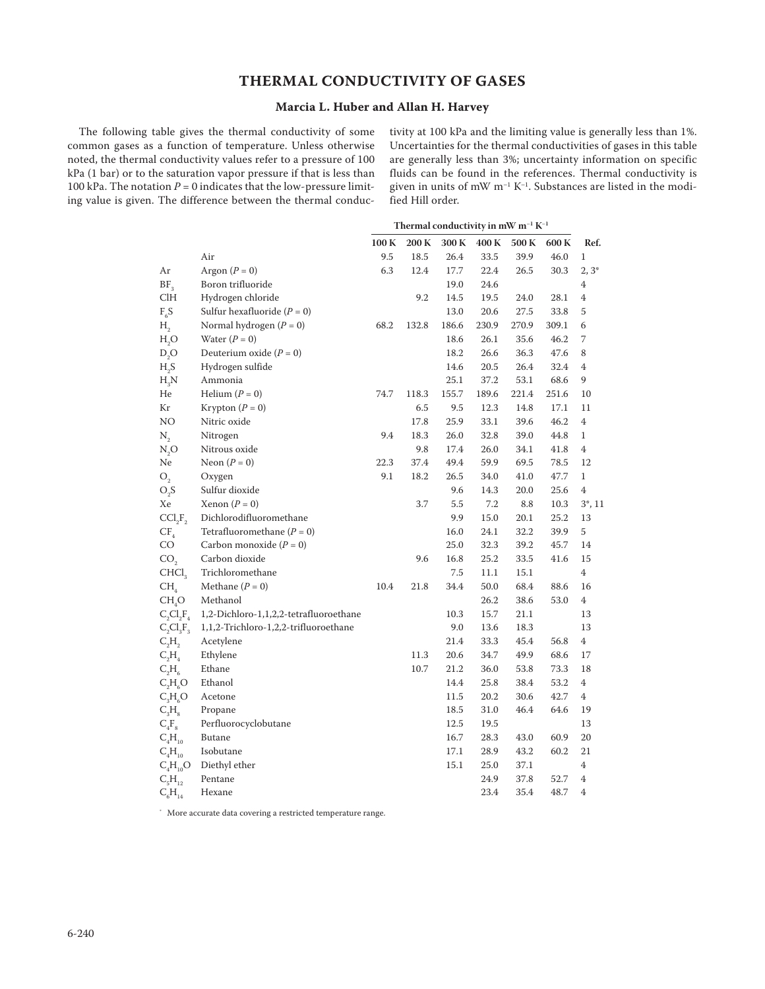## **Thermal Conductivity of Gases**

## **Marcia L. Huber and Allan H. Harvey**

The following table gives the thermal conductivity of some common gases as a function of temperature. Unless otherwise noted, the thermal conductivity values refer to a pressure of 100 kPa (1 bar) or to the saturation vapor pressure if that is less than 100 kPa. The notation  $P = 0$  indicates that the low-pressure limiting value is given. The difference between the thermal conductivity at 100 kPa and the limiting value is generally less than 1%. Uncertainties for the thermal conductivities of gases in this table are generally less than 3%; uncertainty information on specific fluids can be found in the references. Thermal conductivity is given in units of mW  $m^{-1} K^{-1}$ . Substances are listed in the modified Hill order.

|                                 |                                        | Thermal conductivity in mW $m^{-1} K^{-1}$ |       |       |       |       |       |                |
|---------------------------------|----------------------------------------|--------------------------------------------|-------|-------|-------|-------|-------|----------------|
|                                 |                                        | 100K                                       | 200K  | 300K  | 400K  | 500 K | 600K  | Ref.           |
|                                 | Air                                    | 9.5                                        | 18.5  | 26.4  | 33.5  | 39.9  | 46.0  | $\mathbf{1}$   |
| Ar                              | Argon $(P = 0)$                        | 6.3                                        | 12.4  | 17.7  | 22.4  | 26.5  | 30.3  | $2,3^*$        |
| BF <sub>3</sub>                 | Boron trifluoride                      |                                            |       | 19.0  | 24.6  |       |       | 4              |
| C <sub>1</sub> H                | Hydrogen chloride                      |                                            | 9.2   | 14.5  | 19.5  | 24.0  | 28.1  | 4              |
| $F_6S$                          | Sulfur hexafluoride $(P = 0)$          |                                            |       | 13.0  | 20.6  | 27.5  | 33.8  | 5              |
| H <sub>2</sub>                  | Normal hydrogen $(P = 0)$              | 68.2                                       | 132.8 | 186.6 | 230.9 | 270.9 | 309.1 | 6              |
| $\rm H_2O$                      | Water $(P = 0)$                        |                                            |       | 18.6  | 26.1  | 35.6  | 46.2  | 7              |
| D, O                            | Deuterium oxide $(P = 0)$              |                                            |       | 18.2  | 26.6  | 36.3  | 47.6  | 8              |
| $H_2S$                          | Hydrogen sulfide                       |                                            |       | 14.6  | 20.5  | 26.4  | 32.4  | 4              |
| $H_3N$                          | Ammonia                                |                                            |       | 25.1  | 37.2  | 53.1  | 68.6  | 9              |
| He                              | Helium $(P = 0)$                       | 74.7                                       | 118.3 | 155.7 | 189.6 | 221.4 | 251.6 | 10             |
| Кr                              | Krypton $(P = 0)$                      |                                            | 6.5   | 9.5   | 12.3  | 14.8  | 17.1  | 11             |
| NO                              | Nitric oxide                           |                                            | 17.8  | 25.9  | 33.1  | 39.6  | 46.2  | 4              |
| $N_{2}$                         | Nitrogen                               | 9.4                                        | 18.3  | 26.0  | 32.8  | 39.0  | 44.8  | $\mathbf{1}$   |
| N, O                            | Nitrous oxide                          |                                            | 9.8   | 17.4  | 26.0  | 34.1  | 41.8  | 4              |
| Ne                              | Neon $(P = 0)$                         | 22.3                                       | 37.4  | 49.4  | 59.9  | 69.5  | 78.5  | 12             |
| O <sub>2</sub>                  | Oxygen                                 | 9.1                                        | 18.2  | 26.5  | 34.0  | 41.0  | 47.7  | $\mathbf{1}$   |
| $O_2S$                          | Sulfur dioxide                         |                                            |       | 9.6   | 14.3  | 20.0  | 25.6  | $\overline{4}$ |
| Xe                              | Xenon $(P = 0)$                        |                                            | 3.7   | 5.5   | 7.2   | 8.8   | 10.3  | $3^*$ , 11     |
| CCI <sub>2</sub> F <sub>2</sub> | Dichlorodifluoromethane                |                                            |       | 9.9   | 15.0  | 20.1  | 25.2  | 13             |
| $CF_{4}$                        | Tetrafluoromethane $(P = 0)$           |                                            |       | 16.0  | 24.1  | 32.2  | 39.9  | 5              |
| CO                              | Carbon monoxide $(P = 0)$              |                                            |       | 25.0  | 32.3  | 39.2  | 45.7  | 14             |
| CO <sub>2</sub>                 | Carbon dioxide                         |                                            | 9.6   | 16.8  | 25.2  | 33.5  | 41.6  | 15             |
| CHCl <sub>3</sub>               | Trichloromethane                       |                                            |       | 7.5   | 11.1  | 15.1  |       | $\overline{4}$ |
| CH <sub>4</sub>                 | Methane $(P = 0)$                      | 10.4                                       | 21.8  | 34.4  | 50.0  | 68.4  | 88.6  | 16             |
| CH <sub>a</sub> O               | Methanol                               |                                            |       |       | 26.2  | 38.6  | 53.0  | $\overline{4}$ |
| $C_2Cl_2F_4$                    | 1,2-Dichloro-1,1,2,2-tetrafluoroethane |                                            |       | 10.3  | 15.7  | 21.1  |       | 13             |
| $C_2Cl_3F_3$                    | 1,1,2-Trichloro-1,2,2-trifluoroethane  |                                            |       | 9.0   | 13.6  | 18.3  |       | 13             |
| $C_2H_2$                        | Acetylene                              |                                            |       | 21.4  | 33.3  | 45.4  | 56.8  | 4              |
| $C_2H_4$                        | Ethylene                               |                                            | 11.3  | 20.6  | 34.7  | 49.9  | 68.6  | 17             |
| $C_2H_6$                        | Ethane                                 |                                            | 10.7  | 21.2  | 36.0  | 53.8  | 73.3  | 18             |
| $C_2H_6O$                       | Ethanol                                |                                            |       | 14.4  | 25.8  | 38.4  | 53.2  | 4              |
| $C_3H_6O$                       | Acetone                                |                                            |       | 11.5  | 20.2  | 30.6  | 42.7  | 4              |
| $C_{3}H_{8}$                    | Propane                                |                                            |       | 18.5  | 31.0  | 46.4  | 64.6  | 19             |
| $C_4F_8$                        | Perfluorocyclobutane                   |                                            |       | 12.5  | 19.5  |       |       | 13             |
| $C_4H_{10}$                     | Butane                                 |                                            |       | 16.7  | 28.3  | 43.0  | 60.9  | 20             |
| $C_4H_{10}$                     | Isobutane                              |                                            |       | 17.1  | 28.9  | 43.2  | 60.2  | 21             |
| $C_4H_{10}O$                    | Diethyl ether                          |                                            |       | 15.1  | 25.0  | 37.1  |       | $\overline{4}$ |
| $C_{5}H_{12}$                   | Pentane                                |                                            |       |       | 24.9  | 37.8  | 52.7  | $\overline{4}$ |
| $C_6H_{14}$                     | Hexane                                 |                                            |       |       | 23.4  | 35.4  | 48.7  | $\overline{4}$ |
|                                 |                                        |                                            |       |       |       |       |       |                |

\* More accurate data covering a restricted temperature range.